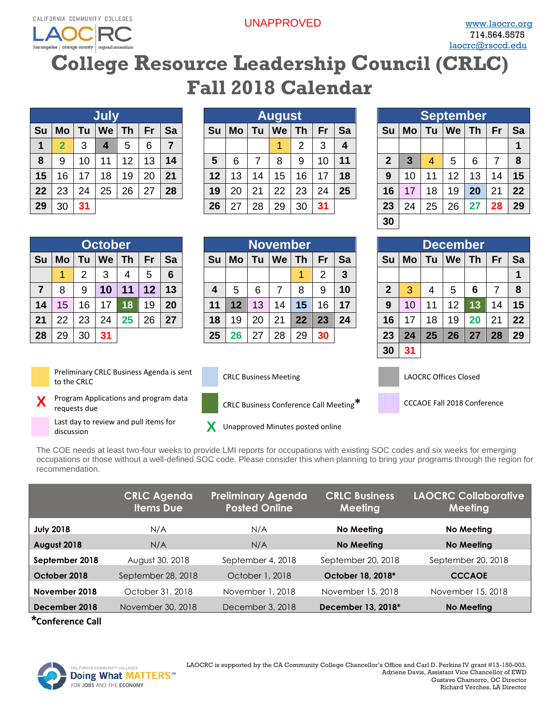**AOCF** los angeles | orange county | regional consortium UNAPPROVED [www.laocrc.org](file://///rsccd.org/scccr/Department%20Directories/Career%20Education%20shared%20folder/Grants/Regional%20Consortia/Meetings/LAOCRC/www.laocrc.org)

## **College Resource Leadership Council (CRLC) Fall 2018 Calendar**

|    |                |    | <b>July</b> |           |    |                |
|----|----------------|----|-------------|-----------|----|----------------|
| Su | Mo             | Tu | <b>We</b>   | <b>Th</b> | Fr | Sa             |
| 1  | $\overline{2}$ | 3  | 4           | 5         | 6  | $\overline{7}$ |
| 8  | 9              | 10 | 11          | 12        | 13 | 14             |
| 15 | 16             | 17 | 18          | 19        | 20 | 21             |
| 22 | 23             | 24 | 25          | 26        | 27 | 28             |
| 29 | 30             | 31 |             |           |    |                |

|    |    |    | July   |    |    |                |    |    |    | <b>August</b> |    |    |              |    |    |    | September |    |    |    |
|----|----|----|--------|----|----|----------------|----|----|----|---------------|----|----|--------------|----|----|----|-----------|----|----|----|
| Su | Mo | 'u | We     | Th | Fr | Sa             | Su | Mo | Tu | We            | Th | Fr | Sa           | Su | Mo | Τu | We        | Γh | Fr | Sa |
|    | າ  |    | 4      | 5  | 6  | $\overline{7}$ |    |    |    |               | ົ  | 3  | $\mathbf{a}$ |    |    |    |           |    |    |    |
| 8  | 9  | 10 | 1<br>1 | 12 | 13 | 14             | 5  | 6  |    | 8             | 9  | 10 | 11           | າ  |    | 4  | 5         | 6  |    | 8  |
| 15 | 16 | 17 | 18     | 19 | 20 | 21             | 12 | 13 | 14 | 15            | 16 | 17 | 18           | 9  | 10 | 11 | 12        | 13 | 14 | 15 |
| 22 | 23 | 24 | 25     | 26 | 27 | 28             | 19 | 20 | 21 | 22            | 23 | 24 | 25           | 16 |    | 18 | 19        | 20 | 21 | 22 |
| 29 | 30 | 31 |        |    |    |                | 26 | 27 | 28 | 29            | 30 | 31 |              | 23 | 24 | 25 | 26        |    | 28 | 29 |

|                |           |    | September |           |    |    |
|----------------|-----------|----|-----------|-----------|----|----|
| Su             | <b>Mo</b> | Tu | We        | <b>Th</b> | Fr | Sa |
|                |           |    |           |           |    |    |
| $\overline{2}$ | 3         | 4  | 5         | 6         | 7  | 8  |
| 9              | 10        | 11 | 12        | 13        | 14 | 15 |
| 16             | 17        | 18 | 19        | 20        | 21 | 22 |
| 23             | 24        | 25 | 26        | 27        | 28 | 29 |
| 30             |           |    |           |           |    |    |

|    |    |    | <b>October</b> |      |       |                 |    |    |    | November |    |    |    |    |    |    | <b>December</b> |    |    |    |
|----|----|----|----------------|------|-------|-----------------|----|----|----|----------|----|----|----|----|----|----|-----------------|----|----|----|
| Su | Mo | Τu | We             | Th   | Fr    | Sa              | Su | Mo | Τu | We       | Τh | Fr | Sa | Su | Mo | Tu | <b>We</b>       | Th | Fr | Sa |
|    |    | ◠  | 3              | 4    | 5     | $6\phantom{1}6$ |    |    |    |          |    | ◠  | 3  |    |    |    |                 |    |    |    |
| 7  | 8  | 9  | 10             | "IM. | 111 P | 13              | 4  | 5  | 6  |          | 8  | 9  | 10 | っ  | 3  | 4  | 5               | 6  |    | 8  |
| 14 | 15 | 16 | 17             | 18   | 19    | 20              | 11 | 12 | 13 | 14       | 15 | 16 | 17 | 9  | 10 | 11 | 12              | 13 | 14 | 15 |
| 21 | 22 | 23 | 24             | 25   | 26    | 27              | 18 | 19 | 20 | 21       | 22 | 23 | 24 | 16 | 17 | 18 | 19              | 20 | 21 | 22 |
| 28 | 29 | 30 | 31             |      |       |                 | 25 | 26 | 27 | 28       | 29 | 30 |    | 23 | 24 | 25 | 26              | 27 | 28 | 29 |
|    |    |    |                |      |       |                 |    |    |    |          |    |    |    | 30 | 31 |    |                 |    |    |    |



Preliminary CRLC Business Agenda is sent to the CRLC CRLC Business Meeting LAOCRC Offices Closed

**X** Program Applications and program data requests due CRLC Business Conference Call Meeting**\*** CCCAOE Fall 2018 Conference

Last day to review and pull items for Last day to review and pun items for **X** Unapproved Minutes posted online discussion

The COE needs at least two-four weeks to provide LMI reports for occupations with existing SOC codes and six weeks for emerging occupations or those without a well-defined SOC code. Please consider this when planning to bring your programs through the region for recommendation.

|                  | <b>CRLC Agenda</b><br><b>Items Due</b> | <b>Preliminary Agenda</b><br><b>Posted Online</b> | <b>CRLC Business</b><br>Meeting | <b>LAOCRC Collaborative</b><br><b>Meeting</b> |
|------------------|----------------------------------------|---------------------------------------------------|---------------------------------|-----------------------------------------------|
| <b>July 2018</b> | N/A                                    | N/A                                               | No Meeting                      | No Meeting                                    |
| August 2018      | N/A                                    | N/A                                               | No Meeting                      | No Meeting                                    |
| September 2018   | August 30, 2018                        | September 4, 2018                                 | September 20, 2018              | September 20, 2018                            |
| October 2018     | September 28, 2018                     | October 1, 2018                                   | October 18, 2018*               | <b>CCCAOE</b>                                 |
| November 2018    | October 31, 2018                       | November 1, 2018                                  | November 15, 2018               | November 15, 2018                             |
| December 2018    | November 30, 2018                      | December 3, 2018                                  | December 13, 2018*              | <b>No Meeting</b>                             |

 **\*Conference Call**

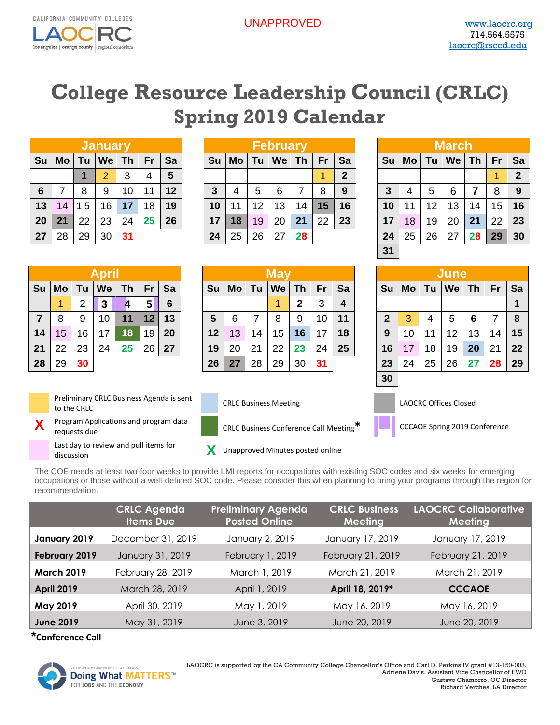

## **College Resource Leadership Council (CRLC) Spring 2019 Calendar**

|    |           |    | January        |           |    |    |
|----|-----------|----|----------------|-----------|----|----|
| Su | <b>Mo</b> | Tu | We             | <b>Th</b> | Fr | Sa |
|    |           | 1  | $\overline{2}$ | 3         | 4  | 5  |
| 6  |           | 8  | 9              | 10        | 11 | 12 |
| 13 | 14        | 15 | 16             | 17        | 18 | 19 |
| 20 | 21        | 22 | 23             | 24        | 25 | 26 |
| 27 | 28        | 29 | 30             | 31        |    |    |

|    |              |    | <b>January</b> |    |    |    |    |    |    | February |    |    |    |    |    |    | <b>March</b> |    |    |                |
|----|--------------|----|----------------|----|----|----|----|----|----|----------|----|----|----|----|----|----|--------------|----|----|----------------|
| Su | Mo           |    | We             | Τh | Fr | Sa | Su | Mo | Τu | We       | Τh | Fr | Sa | Su | Mo | Tu | We           | Th | Fr | Sa             |
|    |              |    | ာ              | 3  |    | 5  |    |    |    |          |    |    | 2  |    |    |    |              |    | 4  | $\overline{2}$ |
| 6  |              | 8  | 9              | 10 | 11 | 12 |    | 4  | 5  | 6        |    | 8  | 9  | 3  |    | 5  | 6            |    | 8  | -9             |
| 13 | $ 14\rangle$ | 5  | 16             | 17 | 18 | 19 | 10 | 11 | 12 | 13       | 14 | 15 | 16 | 10 |    | 12 | 13           | 14 | 15 | 16             |
| 20 | 21           | 22 | 23             | 24 | 25 | 26 | 17 | 18 | 19 | 20       | 21 | 22 | 23 | 17 | 18 | 19 | 20           | 21 | 22 | 23             |
| 27 | 28           | 29 | 30             | 31 |    |    | 24 | 25 | 26 | 27       | 28 |    |    | 24 | 25 | 26 | 27           | 28 | 29 | 30             |

|              |    |    | March |           |    |                |
|--------------|----|----|-------|-----------|----|----------------|
| Su           | Mo | Tu | We    | <b>Th</b> | Fr | Sa             |
|              |    |    |       |           | 1  | $\overline{2}$ |
| $\mathbf{3}$ | 4  | 5  | 6     | 7         | 8  | 9              |
| 10           | 11 | 12 | 13    | 14        | 15 | 16             |
| 17           | 18 | 19 | 20    | 21        | 22 | 23             |
| 24           | 25 | 26 | 27    | 28        | 29 | 30             |
| 31           |    |    |       |           |    |                |

|                |    |    | June |           |    |    |
|----------------|----|----|------|-----------|----|----|
| Su             | Mo | Tu | We   | <b>Th</b> | Fr | Sa |
|                |    |    |      |           |    |    |
| $\overline{2}$ | 3  | 4  | 5    | 6         | 7  | 8  |
| 9              | 10 | 11 | 12   | 13        | 14 | 15 |
| 16             | 17 | 18 | 19   | 20        | 21 | 22 |
| 23             | 24 | 25 | 26   | 27        | 28 | 29 |
| 30             |    |    |      |           |    |    |

|    |    |    | April     |           |    |    |    |    |    |                 |                  |                 |                         |             |    |    | <b>June</b> |                 |           |              |
|----|----|----|-----------|-----------|----|----|----|----|----|-----------------|------------------|-----------------|-------------------------|-------------|----|----|-------------|-----------------|-----------|--------------|
| Su | Mo | Tu | <b>We</b> | <b>Th</b> | Fr | Sa | Su | Mo | Tu | $\mathsf{I}$ We | Th               | Fr              | Sa                      | Su          | Mo | Tu | We          | Th              | <b>Fr</b> | Sa           |
|    |    | っ  | З         | 4         | 15 | 6  |    |    |    |                 | $\boldsymbol{2}$ | 3               | $\overline{\mathbf{4}}$ |             |    |    |             |                 |           | $\mathbf{1}$ |
|    | 8  | 9  | 10        | 11        | 12 | 13 | 5  | 6  |    | 8               | 9                | 10 <sup>°</sup> | 11                      | $\mathbf 2$ | 3  | 4  | 5           | 6               |           | 8            |
| 14 | 15 | 16 | 17        | 18        | 19 | 20 | 12 | 13 | 14 | 15              | 16               | 17              | 18                      | 9           | 10 | 11 | 12          | 13 <sup>7</sup> | 14        | 15           |
| 21 | 22 | 23 | 24        | 25        | 26 | 27 | 19 | 20 | 21 | 22              | 23               | 24              | 25                      | 16          | 17 | 18 | 19          | 20              | 21        | 22           |
| 28 | 29 | 30 |           |           |    |    | 26 | 27 | 28 | 29              | 30               | 31              |                         | 23          | 24 | 25 | 26          | 27              | 28        | 29           |

|                 |    |    |     |    |    |    |         |    |    |    |    |    |    |    |    |    | June |    |    |                |
|-----------------|----|----|-----|----|----|----|---------|----|----|----|----|----|----|----|----|----|------|----|----|----------------|
| ີນ I            | Mo | Tu | We  | Τh | Fr | Sa | Su      | Mo | Tu | We | Τh | Fr | Sa | Su | Mo | Tu | We   | Τh | Fr | $\mathsf{S}$   |
|                 |    | ົ  | Iß. | И. | 5  | 6  |         |    |    |    | 2  | 3  | 4  |    |    |    |      |    |    |                |
|                 | 8  | 9  | 10  | 11 | 12 | 13 | 5       | 6  |    | 8  | 9  | 10 | 11 | 2  | 3  | Δ  | 5    | 6  |    | 8              |
| $\overline{4}$  | 15 | 16 | 17  | 18 | 19 | 20 | $12 \,$ | 13 | 14 | 15 | 16 | 17 | 18 | 9  | 10 | 11 | 12   | 13 | 14 | 1!             |
| $\overline{21}$ | 22 | 23 | 24  | 25 | 26 | 27 | 19      | 20 | 21 | 22 | 23 | 24 | 25 | 16 | 17 | 18 | 19   | 20 | 21 | 2 <sup>2</sup> |
| 28              | 29 | 30 |     |    |    |    | 26      | 27 | 28 | 29 | 30 | 31 |    | 23 | 24 | 25 | 26   | 27 | 28 | 2 <sup>1</sup> |



**X**

Preliminary CRLC Business Agenda is sent The CRLC CRLC CRLC CRLC CRLC CRLC CRLC Business Meeting LAOCRC Offices Closed<br>The CRLC CRLC CRLC CRLC CRLC CRLC Business Meeting

Program Applications and program data requests due CRLC Business Conference Call Meeting**\*** CCCAOE Spring 2019 Conference

Last day to review and pull items for Last day to review and pull items for **X** Unapproved Minutes posted online discussion





The COE needs at least two-four weeks to provide LMI reports for occupations with existing SOC codes and six weeks for emerging occupations or those without a well-defined SOC code. Please consider this when planning to bring your programs through the region for recommendation.

|                   | <b>CRLC Agenda</b><br><b>Items Due</b> | <b>Preliminary Agenda</b><br><b>Posted Online</b> | <b>CRLC Business</b><br>Meeting | <b>LAOCRC Collaborative</b><br>Meeting |
|-------------------|----------------------------------------|---------------------------------------------------|---------------------------------|----------------------------------------|
| January 2019      | December 31, 2019                      | January 2, 2019                                   | January 17, 2019                | January 17, 2019                       |
| February 2019     | January 31, 2019                       | February 1, 2019                                  | February 21, 2019               | February 21, 2019                      |
| <b>March 2019</b> | February 28, 2019                      | March 1, 2019                                     | March 21, 2019                  | March 21, 2019                         |
| <b>April 2019</b> | March 28, 2019                         | April 1, 2019                                     | April 18, 2019*                 | <b>CCCAOE</b>                          |
| May 2019          | April 30, 2019                         | May 1, 2019                                       | May 16, 2019                    | May 16, 2019                           |
| <b>June 2019</b>  | May 31, 2019                           | June 3, 2019                                      | June 20, 2019                   | June 20, 2019                          |

**\*Conference Call**